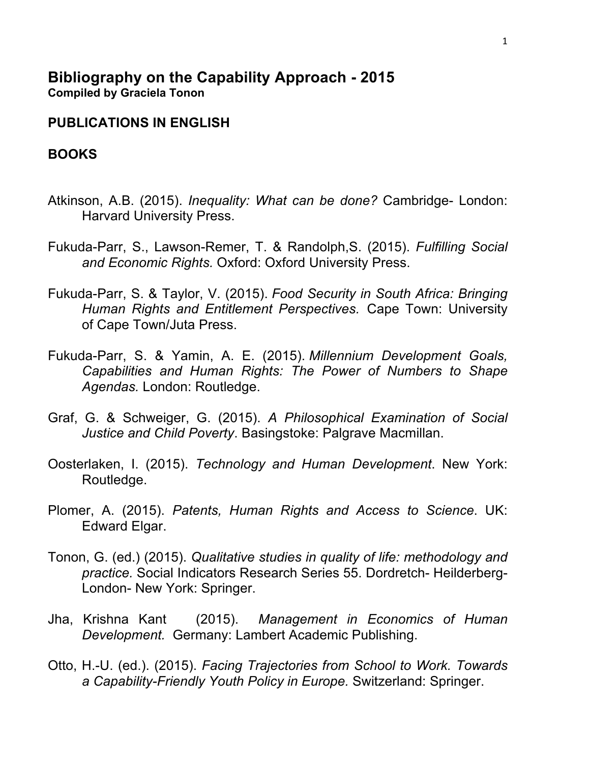## **Bibliography on the Capability Approach - 2015 Compiled by Graciela Tonon**

## **PUBLICATIONS IN ENGLISH**

## **BOOKS**

- Atkinson, A.B. (2015). *Inequality: What can be done?* Cambridge- London: Harvard University Press.
- Fukuda-Parr, S., Lawson-Remer, T. & Randolph,S. (2015). *Fulfilling Social and Economic Rights.* Oxford: Oxford University Press.
- Fukuda-Parr, S. & Taylor, V. (2015). *Food Security in South Africa: Bringing Human Rights and Entitlement Perspectives.* Cape Town: University of Cape Town/Juta Press.
- Fukuda-Parr, S. & Yamin, A. E. (2015). *Millennium Development Goals, Capabilities and Human Rights: The Power of Numbers to Shape Agendas.* London: Routledge.
- Graf, G. & Schweiger, G. (2015). *A Philosophical Examination of Social Justice and Child Poverty*. Basingstoke: Palgrave Macmillan.
- Oosterlaken, I. (2015). *Technology and Human Development*. New York: Routledge.
- Plomer, A. (2015). *Patents, Human Rights and Access to Science*. UK: Edward Elgar.
- Tonon, G. (ed.) (2015). *Qualitative studies in quality of life: methodology and practice.* Social Indicators Research Series 55. Dordretch- Heilderberg-London- New York: Springer.
- Jha, Krishna Kant (2015). *Management in Economics of Human Development.* Germany: Lambert Academic Publishing.
- Otto, H.-U. (ed.). (2015). *Facing Trajectories from School to Work. Towards a Capability-Friendly Youth Policy in Europe.* Switzerland: Springer.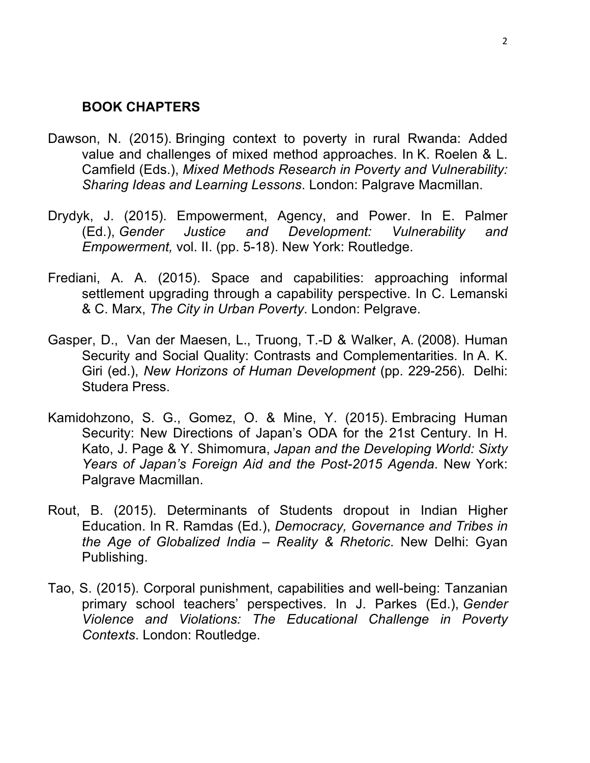### **BOOK CHAPTERS**

- Dawson, N. (2015). Bringing context to poverty in rural Rwanda: Added value and challenges of mixed method approaches. In K. Roelen & L. Camfield (Eds.), *Mixed Methods Research in Poverty and Vulnerability: Sharing Ideas and Learning Lessons*. London: Palgrave Macmillan.
- Drydyk, J. (2015). Empowerment, Agency, and Power. In E. Palmer (Ed.), *Gender Justice and Development: Vulnerability and Empowerment,* vol. II. (pp. 5-18). New York: Routledge.
- Frediani, A. A. (2015). Space and capabilities: approaching informal settlement upgrading through a capability perspective. In C. Lemanski & C. Marx, *The City in Urban Poverty*. London: Pelgrave.
- Gasper, D., Van der Maesen, L., Truong, T.-D & Walker, A. (2008). Human Security and Social Quality: Contrasts and Complementarities. In A. K. Giri (ed.), *New Horizons of Human Development* (pp. 229-256). Delhi: Studera Press.
- Kamidohzono, S. G., Gomez, O. & Mine, Y. (2015). Embracing Human Security: New Directions of Japan's ODA for the 21st Century. In H. Kato, J. Page & Y. Shimomura, *Japan and the Developing World: Sixty Years of Japan's Foreign Aid and the Post-2015 Agenda*. New York: Palgrave Macmillan.
- Rout, B. (2015). Determinants of Students dropout in Indian Higher Education. In R. Ramdas (Ed.), *Democracy, Governance and Tribes in the Age of Globalized India – Reality & Rhetoric*. New Delhi: Gyan Publishing.
- Tao, S. (2015). Corporal punishment, capabilities and well-being: Tanzanian primary school teachers' perspectives. In J. Parkes (Ed.), *Gender Violence and Violations: The Educational Challenge in Poverty Contexts*. London: Routledge.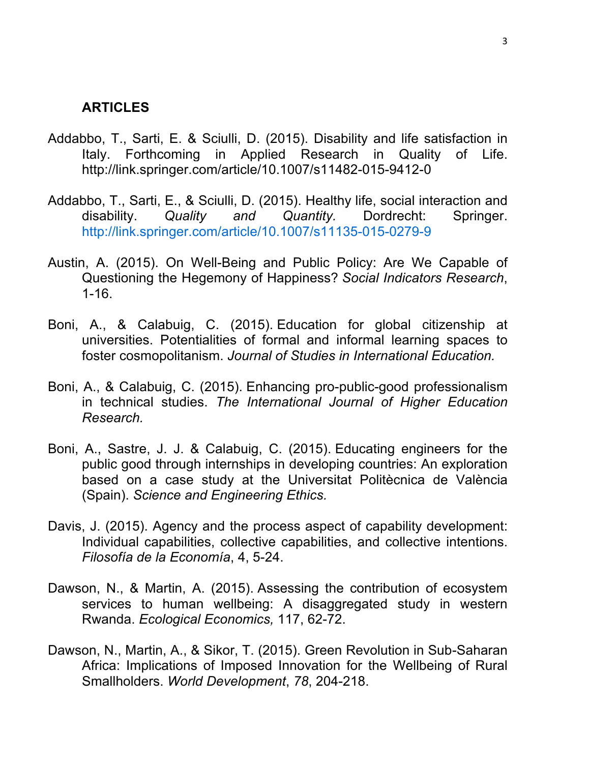#### **ARTICLES**

- Addabbo, T., Sarti, E. & Sciulli, D. (2015). Disability and life satisfaction in Italy. Forthcoming in Applied Research in Quality of Life. http://link.springer.com/article/10.1007/s11482-015-9412-0
- Addabbo, T., Sarti, E., & Sciulli, D. (2015). Healthy life, social interaction and disability. *Quality and Quantity.* Dordrecht: Springer. http://link.springer.com/article/10.1007/s11135-015-0279-9
- Austin, A. (2015). On Well-Being and Public Policy: Are We Capable of Questioning the Hegemony of Happiness? *Social Indicators Research*, 1-16.
- Boni, A., & Calabuig, C. (2015). Education for global citizenship at universities. Potentialities of formal and informal learning spaces to foster cosmopolitanism. *Journal of Studies in International Education.*
- Boni, A., & Calabuig, C. (2015). Enhancing pro-public-good professionalism in technical studies. *The International Journal of Higher Education Research.*
- Boni, A., Sastre, J. J. & Calabuig, C. (2015). Educating engineers for the public good through internships in developing countries: An exploration based on a case study at the Universitat Politècnica de València (Spain). *Science and Engineering Ethics.*
- Davis, J. (2015). Agency and the process aspect of capability development: Individual capabilities, collective capabilities, and collective intentions. *Filosofía de la Economía*, 4, 5-24.
- Dawson, N., & Martin, A. (2015). Assessing the contribution of ecosystem services to human wellbeing: A disaggregated study in western Rwanda. *Ecological Economics,* 117, 62-72.
- Dawson, N., Martin, A., & Sikor, T. (2015). Green Revolution in Sub-Saharan Africa: Implications of Imposed Innovation for the Wellbeing of Rural Smallholders. *World Development*, *78*, 204-218.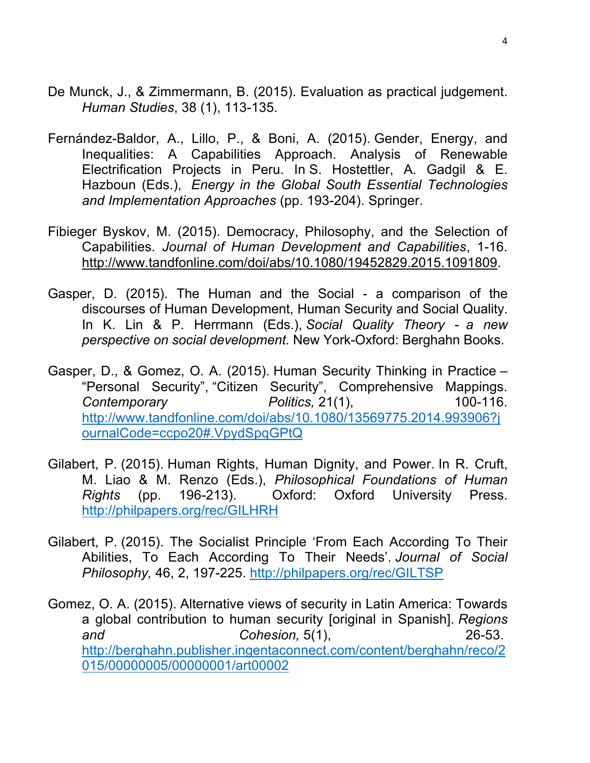- De Munck, J., & Zimmermann, B. (2015). Evaluation as practical judgement. *Human Studies*, 38 (1), 113-135.
- Fernández-Baldor, A., Lillo, P., & Boni, A. (2015). Gender, Energy, and Inequalities: A Capabilities Approach. Analysis of Renewable Electrification Projects in Peru. In S. Hostettler, A. Gadgil & E. Hazboun (Eds.), *Energy in the Global South Essential Technologies and Implementation Approaches* (pp. 193-204). Springer.
- Fibieger Byskov, M. (2015). Democracy, Philosophy, and the Selection of Capabilities. *Journal of Human Development and Capabilities*, 1-16. http://www.tandfonline.com/doi/abs/10.1080/19452829.2015.1091809.
- Gasper, D. (2015). The Human and the Social a comparison of the discourses of Human Development, Human Security and Social Quality. In K. Lin & P. Herrmann (Eds.), *Social Quality Theory - a new perspective on social development.* New York-Oxford: Berghahn Books.
- Gasper, D., & Gomez, O. A. (2015). Human Security Thinking in Practice "Personal Security", "Citizen Security", Comprehensive Mappings. *Contemporary Politics,* 21(1), 100-116. http://www.tandfonline.com/doi/abs/10.1080/13569775.2014.993906?j ournalCode=ccpo20#.VpydSpqGPtQ
- Gilabert, P. (2015). Human Rights, Human Dignity, and Power. In R. Cruft, M. Liao & M. Renzo (Eds.), *Philosophical Foundations of Human Rights* (pp. 196-213). Oxford: Oxford University Press. http://philpapers.org/rec/GILHRH
- Gilabert, P. (2015). The Socialist Principle 'From Each According To Their Abilities, To Each According To Their Needs'. *Journal of Social Philosophy,* 46, 2, 197-225. http://philpapers.org/rec/GILTSP
- Gomez, O. A. (2015). Alternative views of security in Latin America: Towards a global contribution to human security [original in Spanish]. *Regions and Cohesion,* 5(1), 26-53. http://berghahn.publisher.ingentaconnect.com/content/berghahn/reco/2 015/00000005/00000001/art00002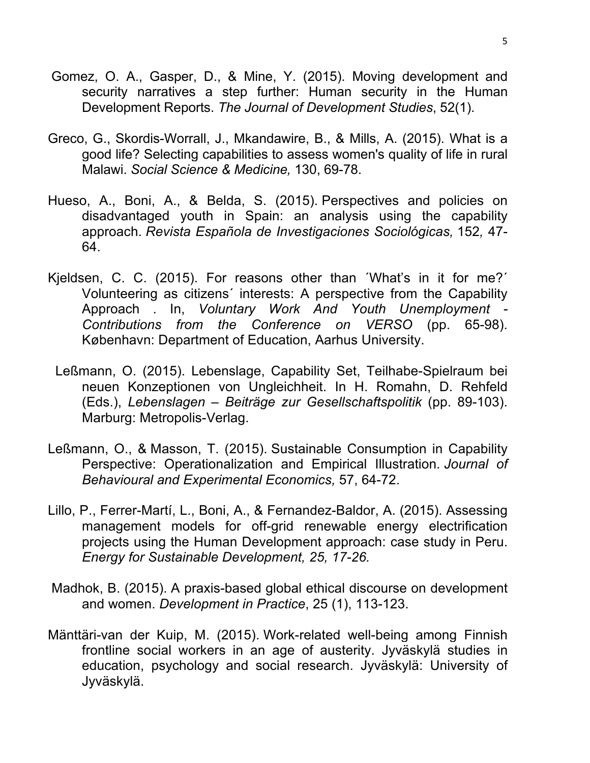- Gomez, O. A., Gasper, D., & Mine, Y. (2015). Moving development and security narratives a step further: Human security in the Human Development Reports. *The Journal of Development Studies*, 52(1).
- Greco, G., Skordis-Worrall, J., Mkandawire, B., & Mills, A. (2015). What is a good life? Selecting capabilities to assess women's quality of life in rural Malawi. *Social Science & Medicine,* 130, 69-78.
- Hueso, A., Boni, A., & Belda, S. (2015). Perspectives and policies on disadvantaged youth in Spain: an analysis using the capability approach. *Revista Española de Investigaciones Sociológicas,* 152*,* 47- 64.
- Kjeldsen, C. C. (2015). For reasons other than ´What's in it for me?´ Volunteering as citizens´ interests: A perspective from the Capability Approach . In, *Voluntary Work And Youth Unemployment - Contributions from the Conference on VERSO* (pp. 65-98). København: Department of Education, Aarhus University.
	- Leßmann, O. (2015). Lebenslage, Capability Set, Teilhabe-Spielraum bei neuen Konzeptionen von Ungleichheit. In H. Romahn, D. Rehfeld (Eds.), *Lebenslagen – Beiträge zur Gesellschaftspolitik* (pp. 89-103). Marburg: Metropolis-Verlag.
- Leßmann, O., & Masson, T. (2015). Sustainable Consumption in Capability Perspective: Operationalization and Empirical Illustration. *Journal of Behavioural and Experimental Economics,* 57, 64-72.
- Lillo, P., Ferrer-Martí, L., Boni, A., & Fernandez-Baldor, A. (2015). Assessing management models for off-grid renewable energy electrification projects using the Human Development approach: case study in Peru. *Energy for Sustainable Development, 25, 17-26.*
- Madhok, B. (2015). A praxis-based global ethical discourse on development and women. *Development in Practice*, 25 (1), 113-123.
- Mänttäri-van der Kuip, M. (2015). Work-related well-being among Finnish frontline social workers in an age of austerity. Jyväskylä studies in education, psychology and social research. Jyväskylä: University of Jyväskylä.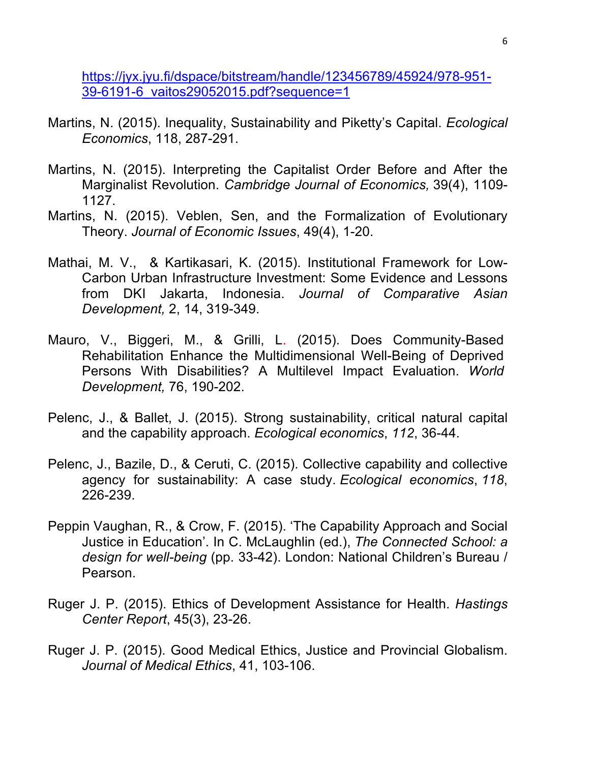https://jyx.jyu.fi/dspace/bitstream/handle/123456789/45924/978-951- 39-6191-6\_vaitos29052015.pdf?sequence=1

- Martins, N. (2015). Inequality, Sustainability and Piketty's Capital. *Ecological Economics*, 118, 287-291.
- Martins, N. (2015). Interpreting the Capitalist Order Before and After the Marginalist Revolution. *Cambridge Journal of Economics,* 39(4), 1109- 1127.
- Martins, N. (2015). Veblen, Sen, and the Formalization of Evolutionary Theory. *Journal of Economic Issues*, 49(4), 1-20.
- Mathai, M. V., & Kartikasari, K. (2015). Institutional Framework for Low-Carbon Urban Infrastructure Investment: Some Evidence and Lessons from DKI Jakarta, Indonesia. *Journal of Comparative Asian Development,* 2, 14, 319-349.
- Mauro, V., Biggeri, M., & Grilli, L. (2015). Does Community-Based Rehabilitation Enhance the Multidimensional Well-Being of Deprived Persons With Disabilities? A Multilevel Impact Evaluation. *World Development,* 76, 190-202.
- Pelenc, J., & Ballet, J. (2015). Strong sustainability, critical natural capital and the capability approach. *Ecological economics*, *112*, 36-44.
- Pelenc, J., Bazile, D., & Ceruti, C. (2015). Collective capability and collective agency for sustainability: A case study. *Ecological economics*, *118*, 226-239.
- Peppin Vaughan, R., & Crow, F. (2015). 'The Capability Approach and Social Justice in Education'. In C. McLaughlin (ed.), *The Connected School: a design for well-being* (pp. 33-42). London: National Children's Bureau / Pearson.
- Ruger J. P. (2015). Ethics of Development Assistance for Health. *Hastings Center Report*, 45(3), 23-26.
- Ruger J. P. (2015). Good Medical Ethics, Justice and Provincial Globalism. *Journal of Medical Ethics*, 41, 103-106.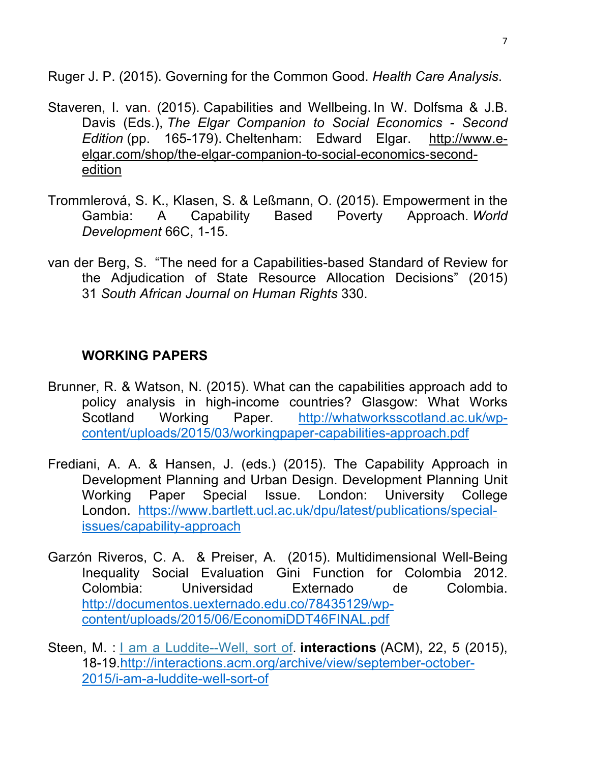Ruger J. P. (2015). Governing for the Common Good. *Health Care Analysis*.

- Staveren, I. van. (2015). Capabilities and Wellbeing. In W. Dolfsma & J.B. Davis (Eds.), *The Elgar Companion to Social Economics - Second Edition* (pp. 165-179). Cheltenham: Edward Elgar. http://www.eelgar.com/shop/the-elgar-companion-to-social-economics-secondedition
- Trommlerová, S. K., Klasen, S. & Leßmann, O. (2015). Empowerment in the Gambia: A Capability Based Poverty Approach. *World Development* 66C, 1-15.
- van der Berg, S. "The need for a Capabilities-based Standard of Review for the Adjudication of State Resource Allocation Decisions" (2015) 31 *South African Journal on Human Rights* 330.

# **WORKING PAPERS**

- Brunner, R. & Watson, N. (2015). What can the capabilities approach add to policy analysis in high-income countries? Glasgow: What Works Scotland Working Paper. http://whatworksscotland.ac.uk/wpcontent/uploads/2015/03/workingpaper-capabilities-approach.pdf
- Frediani, A. A. & Hansen, J. (eds.) (2015). The Capability Approach in Development Planning and Urban Design. Development Planning Unit Working Paper Special Issue. London: University College London. https://www.bartlett.ucl.ac.uk/dpu/latest/publications/specialissues/capability-approach
- Garzón Riveros, C. A. & Preiser, A. (2015). Multidimensional Well-Being Inequality Social Evaluation Gini Function for Colombia 2012. Colombia: Universidad Externado de Colombia. http://documentos.uexternado.edu.co/78435129/wpcontent/uploads/2015/06/EconomiDDT46FINAL.pdf
- Steen, M. : I am a Luddite--Well, sort of. **interactions** (ACM), 22, 5 (2015), 18-19.http://interactions.acm.org/archive/view/september-october-2015/i-am-a-luddite-well-sort-of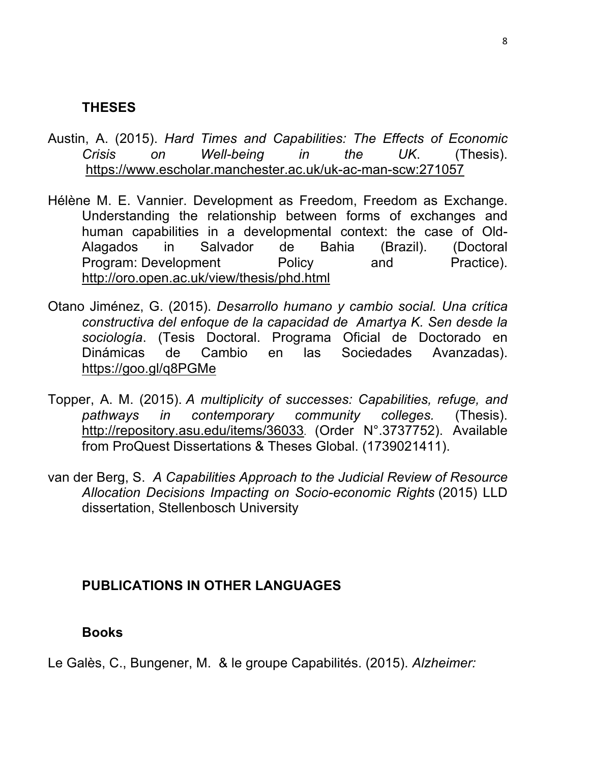# **THESES**

- Austin, A. (2015). *Hard Times and Capabilities: The Effects of Economic Crisis on Well-being in the UK*. (Thesis). https://www.escholar.manchester.ac.uk/uk-ac-man-scw:271057
- Hélène M. E. Vannier. Development as Freedom, Freedom as Exchange. Understanding the relationship between forms of exchanges and human capabilities in a developmental context: the case of Old-Alagados in Salvador de Bahia (Brazil). (Doctoral Program: Development Policy and Practice). http://oro.open.ac.uk/view/thesis/phd.html
- Otano Jiménez, G. (2015). *Desarrollo humano y cambio social. Una crítica constructiva del enfoque de la capacidad de Amartya K. Sen desde la sociología*. (Tesis Doctoral. Programa Oficial de Doctorado en Dinámicas de Cambio en las Sociedades Avanzadas). https://goo.gl/q8PGMe
- Topper, A. M. (2015). *A multiplicity of successes: Capabilities, refuge, and pathways in contemporary community colleges.* (Thesis). http://repository.asu.edu/items/36033. (Order N°.3737752). Available from ProQuest Dissertations & Theses Global. (1739021411).
- van der Berg, S. *A Capabilities Approach to the Judicial Review of Resource Allocation Decisions Impacting on Socio-economic Rights* (2015) LLD dissertation, Stellenbosch University

# **PUBLICATIONS IN OTHER LANGUAGES**

# **Books**

Le Galès, C., Bungener, M. & le groupe Capabilités. (2015). *Alzheimer:*